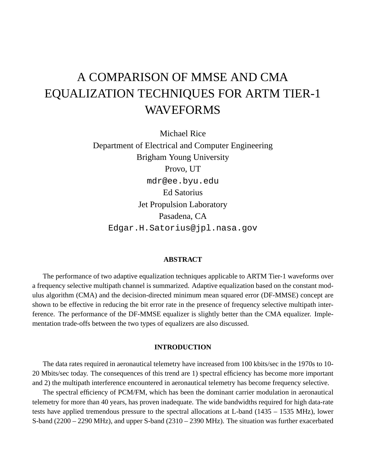# A COMPARISON OF MMSE AND CMA EQUALIZATION TECHNIQUES FOR ARTM TIER-1 WAVEFORMS

Michael Rice Department of Electrical and Computer Engineering Brigham Young University Provo, UT mdr@ee.byu.edu Ed Satorius Jet Propulsion Laboratory Pasadena, CA Edgar.H.Satorius@jpl.nasa.gov

## **ABSTRACT**

The performance of two adaptive equalization techniques applicable to ARTM Tier-1 waveforms over a frequency selective multipath channel is summarized. Adaptive equalization based on the constant modulus algorithm (CMA) and the decision-directed minimum mean squared error (DF-MMSE) concept are shown to be effective in reducing the bit error rate in the presence of frequency selective multipath interference. The performance of the DF-MMSE equalizer is slightly better than the CMA equalizer. Implementation trade-offs between the two types of equalizers are also discussed.

#### **INTRODUCTION**

The data rates required in aeronautical telemetry have increased from 100 kbits/sec in the 1970s to 10- 20 Mbits/sec today. The consequences of this trend are 1) spectral efficiency has become more important and 2) the multipath interference encountered in aeronautical telemetry has become frequency selective.

The spectral efficiency of PCM/FM, which has been the dominant carrier modulation in aeronautical telemetry for more than 40 years, has proven inadequate. The wide bandwidths required for high data-rate tests have applied tremendous pressure to the spectral allocations at L-band (1435 – 1535 MHz), lower S-band (2200 – 2290 MHz), and upper S-band (2310 – 2390 MHz). The situation was further exacerbated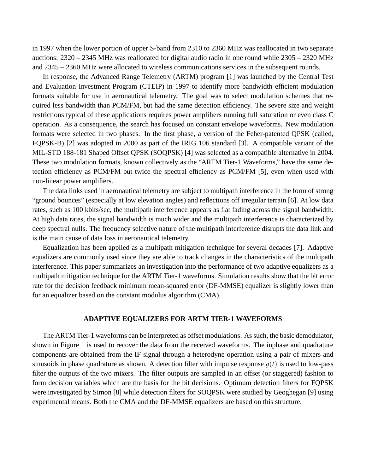in 1997 when the lower portion of upper S-band from 2310 to 2360 MHz was reallocated in two separate auctions: 2320 – 2345 MHz was reallocated for digital audio radio in one round while 2305 – 2320 MHz and 2345 – 2360 MHz were allocated to wireless communications services in the subsequent rounds.

In response, the Advanced Range Telemetry (ARTM) program [1] was launched by the Central Test and Evaluation Investment Program (CTEIP) in 1997 to identify more bandwidth efficient modulation formats suitable for use in aeronautical telemetry. The goal was to select modulation schemes that required less bandwidth than PCM/FM, but had the same detection efficiency. The severe size and weight restrictions typical of these applications requires power amplifiers running full saturation or even class C operation. As a consequence, the search has focused on constant envelope waveforms. New modulation formats were selected in two phases. In the first phase, a version of the Feher-patented QPSK (called, FQPSK-B) [2] was adopted in 2000 as part of the IRIG 106 standard [3]. A compatible variant of the MIL-STD 188-181 Shaped Offset QPSK (SOQPSK) [4] was selected as a compatible alternative in 2004. These two modulation formats, known collectively as the "ARTM Tier-1 Waveforms," have the same detection efficiency as PCM/FM but twice the spectral efficiency as PCM/FM [5], even when used with non-linear power amplifiers.

The data links used in aeronautical telemetry are subject to multipath interference in the form of strong "ground bounces" (especially at low elevation angles) and reflections off irregular terrain [6]. At low data rates, such as 100 kbits/sec, the multipath interference appears as flat fading across the signal bandwidth. At high data rates, the signal bandwidth is much wider and the multipath interference is characterized by deep spectral nulls. The frequency selective nature of the multipath interference disrupts the data link and is the main cause of data loss in aeronautical telemetry.

Equalization has been applied as a multipath mitigation technique for several decades [7]. Adaptive equalizers are commonly used since they are able to track changes in the characteristics of the multipath interference. This paper summarizes an investigation into the performance of two adaptive equalizers as a multipath mitigation technique for the ARTM Tier-1 waveforms. Simulation results show that the bit error rate for the decision feedback minimum mean-squared error (DF-MMSE) equalizer is slightly lower than for an equalizer based on the constant modulus algorithm (CMA).

## **ADAPTIVE EQUALIZERS FOR ARTM TIER-1 WAVEFORMS**

The ARTM Tier-1 waveforms can be interpreted as offset modulations. As such, the basic demodulator, shown in Figure 1 is used to recover the data from the received waveforms. The inphase and quadrature components are obtained from the IF signal through a heterodyne operation using a pair of mixers and sinusoids in phase quadrature as shown. A detection filter with impulse response  $g(t)$  is used to low-pass filter the outputs of the two mixers. The filter outputs are sampled in an offset (or staggered) fashion to form decision variables which are the basis for the bit decisions. Optimum detection filters for FQPSK were investigated by Simon [8] while detection filters for SOQPSK were studied by Geoghegan [9] using experimental means. Both the CMA and the DF-MMSE equalizers are based on this structure.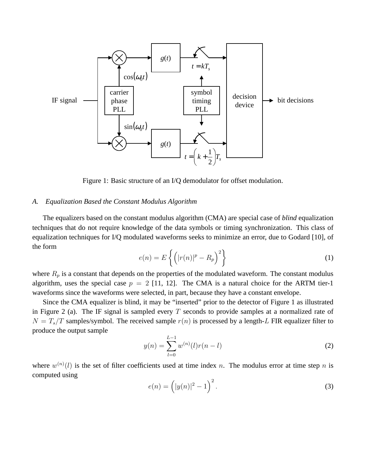

Figure 1: Basic structure of an I/Q demodulator for offset modulation.

## *A. Equalization Based the Constant Modulus Algorithm*

The equalizers based on the constant modulus algorithm (CMA) are special case of *blind* equalization techniques that do not require knowledge of the data symbols or timing synchronization. This class of equalization techniques for I/Q modulated waveforms seeks to minimize an error, due to Godard [10], of the form

$$
e(n) = E\left\{ \left( |r(n)|^p - R_p \right)^2 \right\} \tag{1}
$$

where  $R_p$  is a constant that depends on the properties of the modulated waveform. The constant modulus algorithm, uses the special case  $p = 2$  [11, 12]. The CMA is a natural choice for the ARTM tier-1 waveforms since the waveforms were selected, in part, because they have a constant envelope.

Since the CMA equalizer is blind, it may be "inserted" prior to the detector of Figure 1 as illustrated in Figure 2 (a). The IF signal is sampled every  $T$  seconds to provide samples at a normalized rate of  $N = T_s/T$  samples/symbol. The received sample  $r(n)$  is processed by a length-L FIR equalizer filter to produce the output sample

$$
y(n) = \sum_{l=0}^{L-1} w^{(n)}(l)r(n-l)
$$
\n(2)

where  $w^{(n)}(l)$  is the set of filter coefficients used at time index n. The modulus error at time step n is computed using

$$
e(n) = (|y(n)|^2 - 1)^2.
$$
 (3)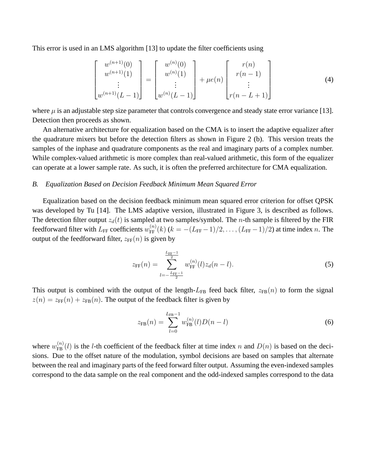This error is used in an LMS algorithm [13] to update the filter coefficients using

$$
\begin{bmatrix} w^{(n+1)}(0) \\ w^{(n+1)}(1) \\ \vdots \\ w^{(n+1)}(L-1) \end{bmatrix} = \begin{bmatrix} w^{(n)}(0) \\ w^{(n)}(1) \\ \vdots \\ w^{(n)}(L-1) \end{bmatrix} + \mu e(n) \begin{bmatrix} r(n) \\ r(n-1) \\ \vdots \\ r(n-L+1) \end{bmatrix}
$$
 (4)

where  $\mu$  is an adjustable step size parameter that controls convergence and steady state error variance [13]. Detection then proceeds as shown.

An alternative architecture for equalization based on the CMA is to insert the adaptive equalizer after the quadrature mixers but before the detection filters as shown in Figure 2 (b). This version treats the samples of the inphase and quadrature components as the real and imaginary parts of a complex number. While complex-valued arithmetic is more complex than real-valued arithmetic, this form of the equalizer can operate at a lower sample rate. As such, it is often the preferred architecture for CMA equalization.

#### *B. Equalization Based on Decision Feedback Minimum Mean Squared Error*

Equalization based on the decision feedback minimum mean squared error criterion for offset QPSK was developed by Tu [14]. The LMS adaptive version, illustrated in Figure 3, is described as follows. The detection filter output  $z_d(t)$  is sampled at two samples/symbol. The *n*-th sample is filtered by the FIR feedforward filter with  $L_{FF}$  coefficients  $w_{FF}^{(n)}(k)$  ( $k = -(L_{FF}-1)/2, \ldots, (L_{FF}-1)/2$ ) at time index n. The output of the feedforward filter,  $z_{FF}(n)$  is given by

$$
z_{\rm FF}(n) = \sum_{l=-\frac{L_{\rm FF}-1}{2}}^{\frac{L_{\rm FF}-1}{2}} w_{\rm FF}^{(n)}(l) z_d(n-l).
$$
 (5)

This output is combined with the output of the length- $L_{FB}$  feed back filter,  $z_{FB}(n)$  to form the signal  $z(n) = z_{FF}(n) + z_{FB}(n)$ . The output of the feedback filter is given by

$$
z_{\text{FB}}(n) = \sum_{l=0}^{L_{\text{FB}}-1} w_{\text{FB}}^{(n)}(l) D(n-l)
$$
 (6)

where  $w_{FB}^{(n)}(l)$  is the *l*-th coefficient of the feedback filter at time index n and  $D(n)$  is based on the decisions. Due to the offset nature of the modulation, symbol decisions are based on samples that alternate between the real and imaginary parts of the feed forward filter output. Assuming the even-indexed samples correspond to the data sample on the real component and the odd-indexed samples correspond to the data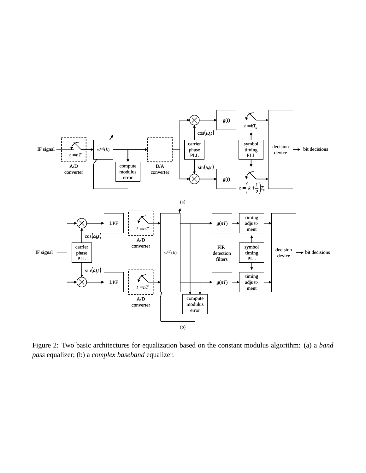

Figure 2: Two basic architectures for equalization based on the constant modulus algorithm: (a) a *band pass* equalizer; (b) a *complex baseband* equalizer.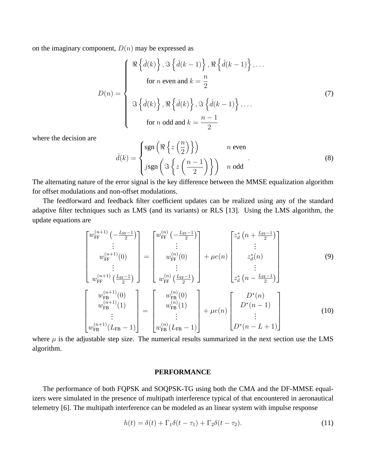on the imaginary component,  $D(n)$  may be expressed as

$$
D(n) = \begin{cases} \Re \left\{ \hat{d}(k) \right\}, \Im \left\{ \hat{d}(k-1) \right\}, \Re \left\{ \hat{d}(k-1) \right\}, \dots \\ \text{for } n \text{ even and } k = \frac{n}{2} \\ \Im \left\{ \hat{d}(k) \right\}, \Re \left\{ \hat{d}(k) \right\}, \Im \left\{ \hat{d}(k-1) \right\}, \dots \\ \text{for } n \text{ odd and } k = \frac{n-1}{2} \end{cases}
$$
(7)

where the decision are

$$
\hat{d}(k) = \begin{cases} \text{sgn}\left(\Re\left\{z\left(\frac{n}{2}\right)\right\}\right) & n \text{ even} \\ j \text{sgn}\left(\Im\left\{z\left(\frac{n-1}{2}\right)\right\}\right) & n \text{ odd} \end{cases}
$$
\n(8)

The alternating nature of the error signal is the key difference between the MMSE equalization algorithm for offset modulations and non-offset modulations.

The feedforward and feedback filter coefficient updates can be realized using any of the standard adaptive filter techniques such as LMS (and its variants) or RLS [13]. Using the LMS algorithm, the update equations are

$$
\begin{bmatrix} w_{\text{FF}}^{(n+1)} \left( -\frac{L_{\text{FF}}-1}{2} \right) \\ \vdots \\ w_{\text{FF}}^{(n+1)}(0) \\ \vdots \end{bmatrix} = \begin{bmatrix} w_{\text{FF}}^{(n)} \left( -\frac{L_{\text{FF}}-1}{2} \right) \\ \vdots \\ w_{\text{FF}}^{(n)}(0) \\ \vdots \end{bmatrix} + \mu e(n) \begin{bmatrix} z_d^* \left( n + \frac{L_{\text{FF}}-1}{2} \right) \\ \vdots \\ z_d^*(n) \\ \vdots \end{bmatrix}
$$
 (9)

$$
\begin{bmatrix}\nw_{\text{FF}}^{(n+1)}\left(\frac{L_{\text{FF}}-1}{2}\right) & w_{\text{FF}}^{(n)}\left(\frac{L_{\text{FF}}-1}{2}\right) & z_d^*\left(n-\frac{L_{\text{FF}}-1}{2}\right)\n\end{bmatrix}\nw_{\text{FB}}^{(n+1)}(0)\nw_{\text{FB}}^{(n+1)}(1)\n\vdots\n\begin{bmatrix}\nw_{\text{FB}}^{(n)}(0) & w_{\text{FB}}^{(n)}(1) & z_n^*(n-1) \\
w_{\text{FB}}^{(n+1)}(L_{\text{FB}}-1) & \vdots & \vdots \\
w_{\text{FB}}^{(n)}(L_{\text{FB}}-1) & w_{\text{FB}}^{(n)}(L_{\text{FB}}-1)\n\end{bmatrix} + \mu e(n)\n\begin{bmatrix}\nD^*(n) & 0 & 0 \\
D^*(n-1) & 0 & 0 \\
\vdots & \vdots & \vdots \\
D^*(n-L+1) & 0 & 0\n\end{bmatrix}
$$
\n(10)

where  $\mu$  is the adjustable step size. The numerical results summarized in the next section use the LMS algorithm.

## **PERFORMANCE**

The performance of both FQPSK and SOQPSK-TG using both the CMA and the DF-MMSE equalizers were simulated in the presence of multipath interference typical of that encountered in aeronautical telemetry [6]. The multipath interference can be modeled as an linear system with impulse response

$$
h(t) = \delta(t) + \Gamma_1 \delta(t - \tau_1) + \Gamma_2 \delta(t - \tau_2).
$$
\n(11)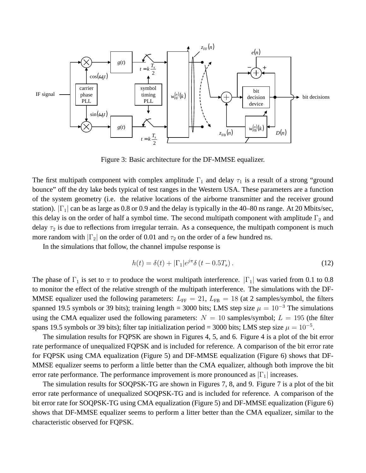

Figure 3: Basic architecture for the DF-MMSE equalizer.

The first multipath component with complex amplitude  $\Gamma_1$  and delay  $\tau_1$  is a result of a strong "ground" bounce" off the dry lake beds typical of test ranges in the Western USA. These parameters are a function of the system geometry (i.e. the relative locations of the airborne transmitter and the receiver ground station).  $|\Gamma_1|$  can be as large as 0.8 or 0.9 and the delay is typically in the 40–80 ns range. At 20 Mbits/sec, this delay is on the order of half a symbol time. The second multipath component with amplitude  $\Gamma_2$  and delay  $\tau_2$  is due to reflections from irregular terrain. As a consequence, the multipath component is much more random with  $|\Gamma_2|$  on the order of 0.01 and  $\tau_2$  on the order of a few hundred ns.

In the simulations that follow, the channel impulse response is

$$
h(t) = \delta(t) + |\Gamma_1|e^{j\pi}\delta(t - 0.5T_s). \tag{12}
$$

The phase of  $\Gamma_1$  is set to  $\pi$  to produce the worst multipath interference.  $|\Gamma_1|$  was varied from 0.1 to 0.8 to monitor the effect of the relative strength of the multipath interference. The simulations with the DF-MMSE equalizer used the following parameters:  $L_{FF} = 21$ ,  $L_{FB} = 18$  (at 2 samples/symbol, the filters spanned 19.5 symbols or 39 bits); training length = 3000 bits; LMS step size  $\mu = 10^{-3}$  The simulations using the CMA equalizer used the following parameters:  $N = 10$  samples/symbol;  $L = 195$  (the filter spans 19.5 symbols or 39 bits); filter tap initialization period = 3000 bits; LMS step size  $\mu = 10^{-5}$ .

The simulation results for FQPSK are shown in Figures 4, 5, and 6. Figure 4 is a plot of the bit error rate performance of unequalized FQPSK and is included for reference. A comparison of the bit error rate for FQPSK using CMA equalization (Figure 5) and DF-MMSE equalization (Figure 6) shows that DF-MMSE equalizer seems to perform a little better than the CMA equalizer, although both improve the bit error rate performance. The performance improvement is more pronounced as  $|\Gamma_1|$  increases.

The simulation results for SOQPSK-TG are shown in Figures 7, 8, and 9. Figure 7 is a plot of the bit error rate performance of unequalized SOQPSK-TG and is included for reference. A comparison of the bit error rate for SOQPSK-TG using CMA equalization (Figure 5) and DF-MMSE equalization (Figure 6) shows that DF-MMSE equalizer seems to perform a litter better than the CMA equalizer, similar to the characteristic observed for FQPSK.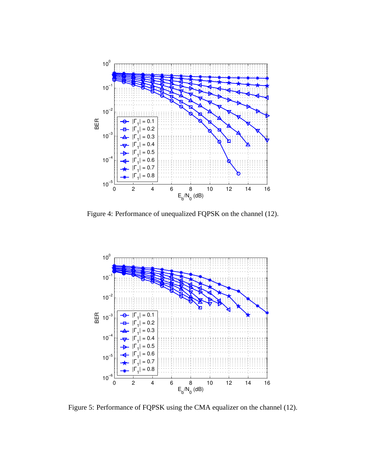

Figure 4: Performance of unequalized FQPSK on the channel (12).



Figure 5: Performance of FQPSK using the CMA equalizer on the channel (12).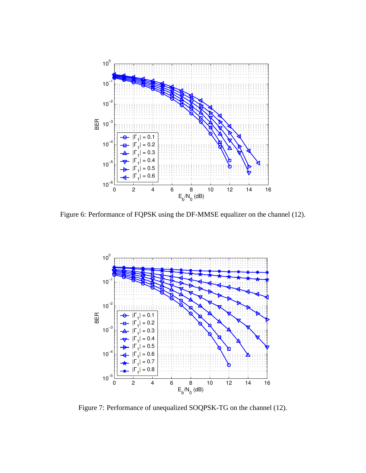

Figure 6: Performance of FQPSK using the DF-MMSE equalizer on the channel (12).



Figure 7: Performance of unequalized SOQPSK-TG on the channel (12).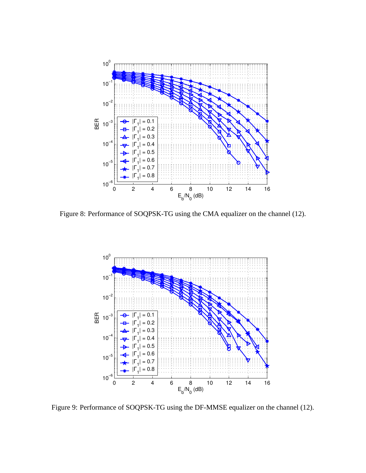

Figure 8: Performance of SOQPSK-TG using the CMA equalizer on the channel (12).



Figure 9: Performance of SOQPSK-TG using the DF-MMSE equalizer on the channel (12).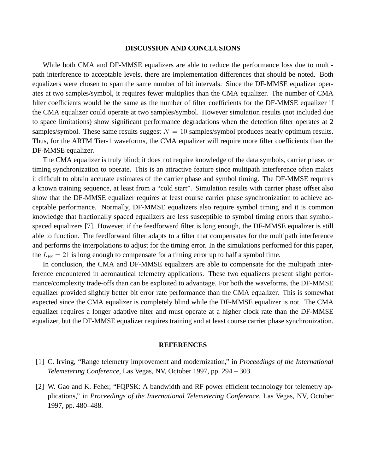#### **DISCUSSION AND CONCLUSIONS**

While both CMA and DF-MMSE equalizers are able to reduce the performance loss due to multipath interference to acceptable levels, there are implementation differences that should be noted. Both equalizers were chosen to span the same number of bit intervals. Since the DF-MMSE equalizer operates at two samples/symbol, it requires fewer multiplies than the CMA equalizer. The number of CMA filter coefficients would be the same as the number of filter coefficients for the DF-MMSE equalizer if the CMA equalizer could operate at two samples/symbol. However simulation results (not included due to space limitations) show significant performance degradations when the detection filter operates at 2 samples/symbol. These same results suggest  $N = 10$  samples/symbol produces nearly optimum results. Thus, for the ARTM Tier-1 waveforms, the CMA equalizer will require more filter coefficients than the DF-MMSE equalizer.

The CMA equalizer is truly blind; it does not require knowledge of the data symbols, carrier phase, or timing synchronization to operate. This is an attractive feature since multipath interference often makes it difficult to obtain accurate estimates of the carrier phase and symbol timing. The DF-MMSE requires a known training sequence, at least from a "cold start". Simulation results with carrier phase offset also show that the DF-MMSE equalizer requires at least course carrier phase synchronization to achieve acceptable performance. Normally, DF-MMSE equalizers also require symbol timing and it is common knowledge that fractionally spaced equalizers are less susceptible to symbol timing errors than symbolspaced equalizers [7]. However, if the feedforward filter is long enough, the DF-MMSE equalizer is still able to function. The feedforward filter adapts to a filter that compensates for the multipath interference and performs the interpolations to adjust for the timing error. In the simulations performed for this paper, the  $L_{FF} = 21$  is long enough to compensate for a timing error up to half a symbol time.

In conclusion, the CMA and DF-MMSE equalizers are able to compensate for the multipath interference encountered in aeronautical telemetry applications. These two equalizers present slight performance/complexity trade-offs than can be exploited to advantage. For both the waveforms, the DF-MMSE equalizer provided slightly better bit error rate performance than the CMA equalizer. This is somewhat expected since the CMA equalizer is completely blind while the DF-MMSE equalizer is not. The CMA equalizer requires a longer adaptive filter and must operate at a higher clock rate than the DF-MMSE equalizer, but the DF-MMSE equalizer requires training and at least course carrier phase synchronization.

#### **REFERENCES**

- [1] C. Irving, "Range telemetry improvement and modernization," in *Proceedings of the International Telemetering Conference*, Las Vegas, NV, October 1997, pp. 294 – 303.
- [2] W. Gao and K. Feher, "FQPSK: A bandwidth and RF power efficient technology for telemetry applications," in *Proceedings of the International Telemetering Conference*, Las Vegas, NV, October 1997, pp. 480–488.